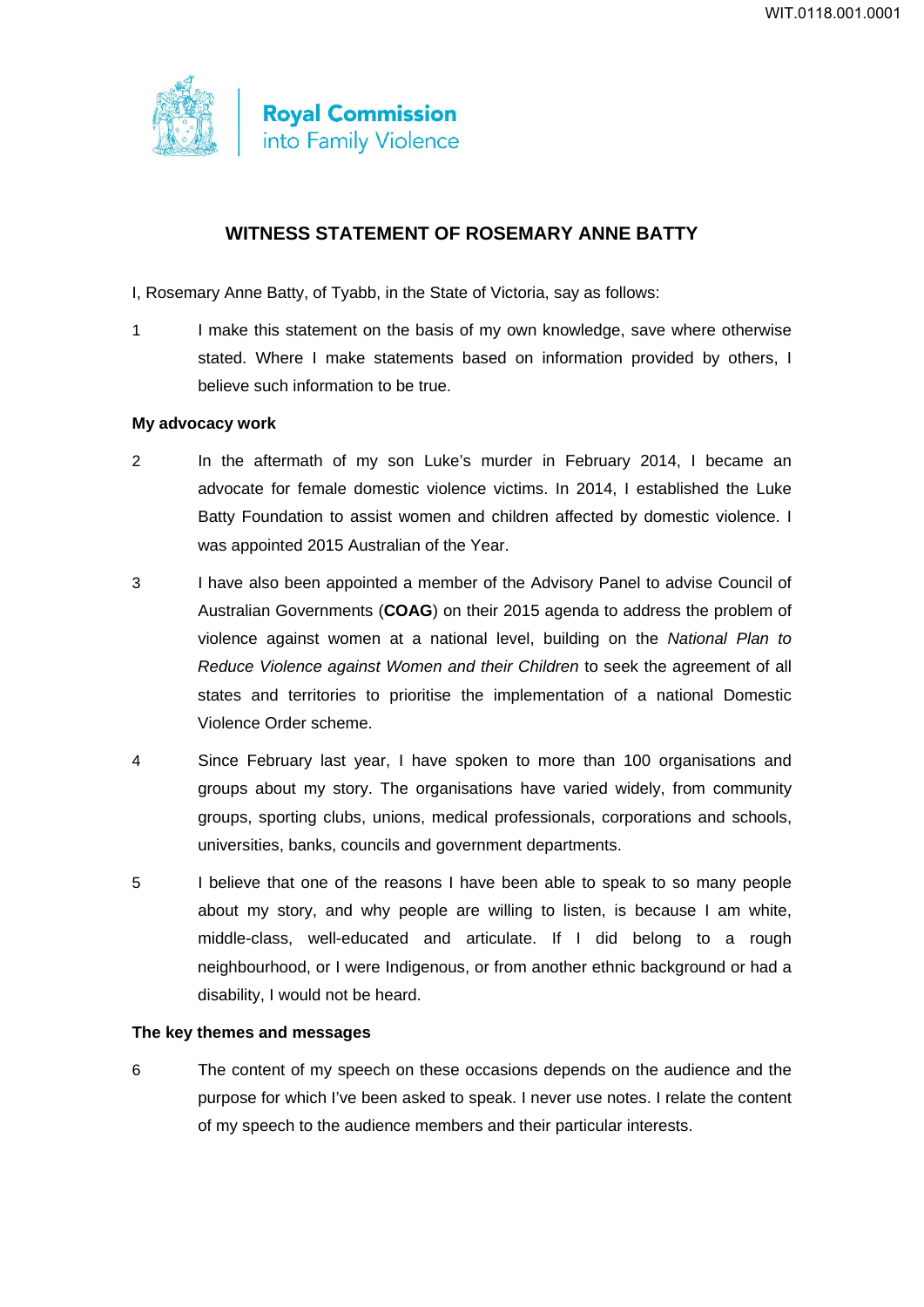

# **WITNESS STATEMENT OF ROSEMARY ANNE BATTY**

- I, Rosemary Anne Batty, of Tyabb, in the State of Victoria, say as follows:
- 1 I make this statement on the basis of my own knowledge, save where otherwise stated. Where I make statements based on information provided by others, I believe such information to be true.

#### **My advocacy work**

- 2 In the aftermath of my son Luke's murder in February 2014, I became an advocate for female domestic violence victims. In 2014, I established the Luke Batty Foundation to assist women and children affected by domestic violence. I was appointed 2015 Australian of the Year.
- 3 I have also been appointed a member of the Advisory Panel to advise Council of Australian Governments (**COAG**) on their 2015 agenda to address the problem of violence against women at a national level, building on the *National Plan to Reduce Violence against Women and their Children* to seek the agreement of all states and territories to prioritise the implementation of a national Domestic Violence Order scheme.
- 4 Since February last year, I have spoken to more than 100 organisations and groups about my story. The organisations have varied widely, from community groups, sporting clubs, unions, medical professionals, corporations and schools, universities, banks, councils and government departments.
- 5 I believe that one of the reasons I have been able to speak to so many people about my story, and why people are willing to listen, is because I am white, middle-class, well-educated and articulate. If I did belong to a rough neighbourhood, or I were Indigenous, or from another ethnic background or had a disability, I would not be heard.

## **The key themes and messages**

6 The content of my speech on these occasions depends on the audience and the purpose for which I've been asked to speak. I never use notes. I relate the content of my speech to the audience members and their particular interests.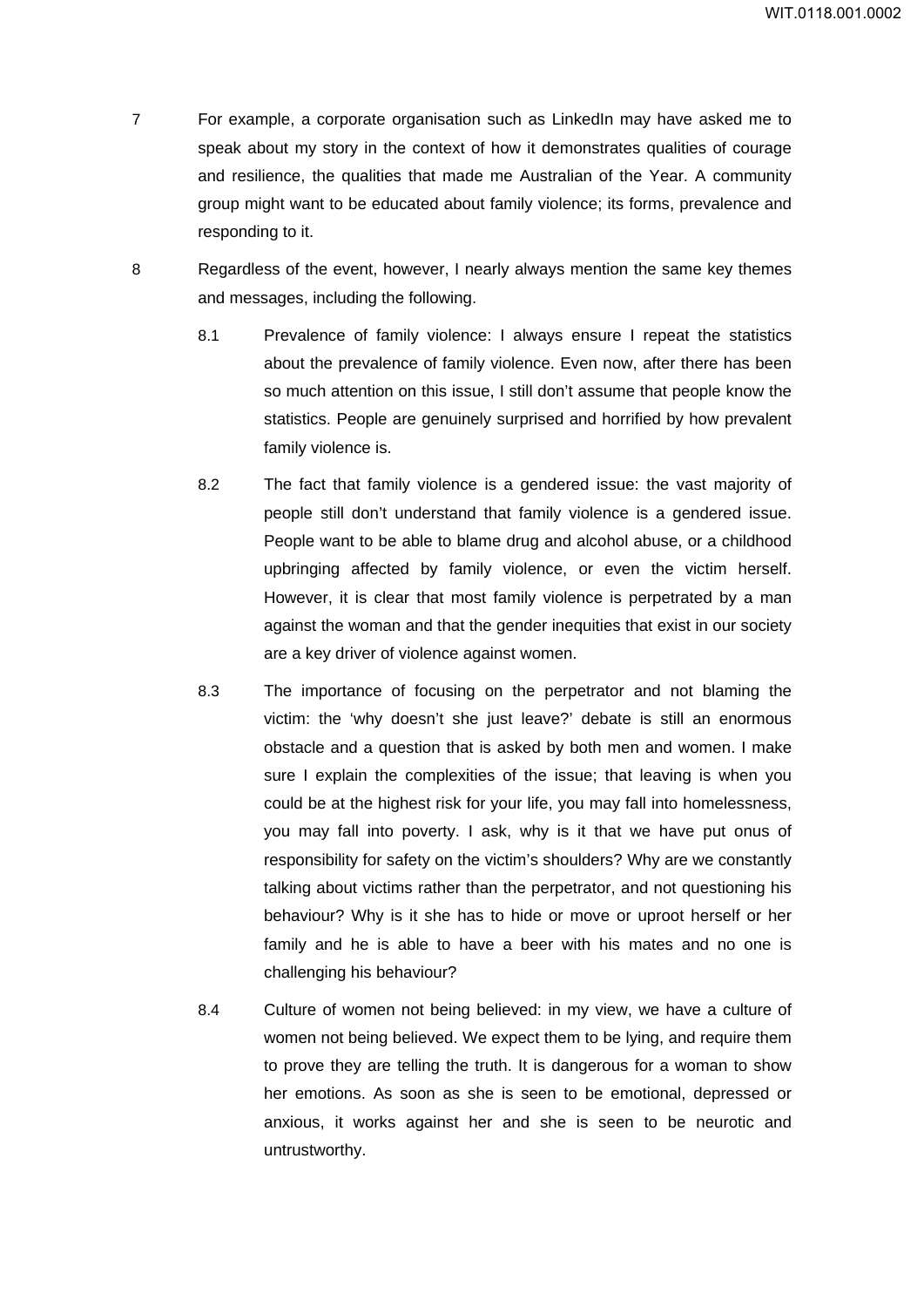- 7 For example, a corporate organisation such as LinkedIn may have asked me to speak about my story in the context of how it demonstrates qualities of courage and resilience, the qualities that made me Australian of the Year. A community group might want to be educated about family violence; its forms, prevalence and responding to it.
- 8 Regardless of the event, however, I nearly always mention the same key themes and messages, including the following.
	- 8.1 Prevalence of family violence: I always ensure I repeat the statistics about the prevalence of family violence. Even now, after there has been so much attention on this issue, I still don't assume that people know the statistics. People are genuinely surprised and horrified by how prevalent family violence is.
	- 8.2 The fact that family violence is a gendered issue: the vast majority of people still don't understand that family violence is a gendered issue. People want to be able to blame drug and alcohol abuse, or a childhood upbringing affected by family violence, or even the victim herself. However, it is clear that most family violence is perpetrated by a man against the woman and that the gender inequities that exist in our society are a key driver of violence against women.
	- 8.3 The importance of focusing on the perpetrator and not blaming the victim: the 'why doesn't she just leave?' debate is still an enormous obstacle and a question that is asked by both men and women. I make sure I explain the complexities of the issue; that leaving is when you could be at the highest risk for your life, you may fall into homelessness, you may fall into poverty. I ask, why is it that we have put onus of responsibility for safety on the victim's shoulders? Why are we constantly talking about victims rather than the perpetrator, and not questioning his behaviour? Why is it she has to hide or move or uproot herself or her family and he is able to have a beer with his mates and no one is challenging his behaviour?
	- 8.4 Culture of women not being believed: in my view, we have a culture of women not being believed. We expect them to be lying, and require them to prove they are telling the truth. It is dangerous for a woman to show her emotions. As soon as she is seen to be emotional, depressed or anxious, it works against her and she is seen to be neurotic and untrustworthy.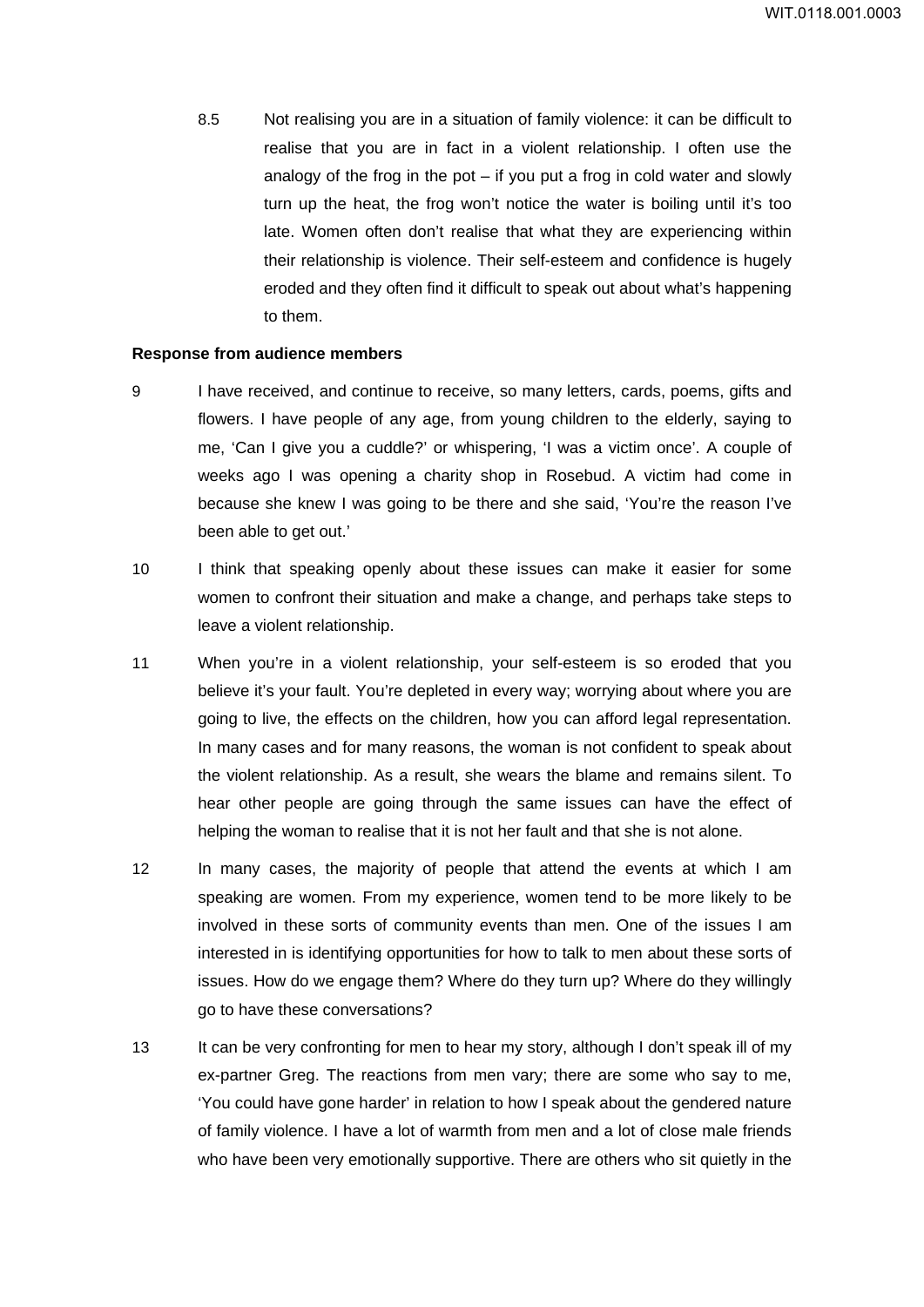8.5 Not realising you are in a situation of family violence: it can be difficult to realise that you are in fact in a violent relationship. I often use the analogy of the frog in the pot  $-$  if you put a frog in cold water and slowly turn up the heat, the frog won't notice the water is boiling until it's too late. Women often don't realise that what they are experiencing within their relationship is violence. Their self-esteem and confidence is hugely eroded and they often find it difficult to speak out about what's happening to them.

#### **Response from audience members**

- 9 I have received, and continue to receive, so many letters, cards, poems, gifts and flowers. I have people of any age, from young children to the elderly, saying to me, 'Can I give you a cuddle?' or whispering, 'I was a victim once'. A couple of weeks ago I was opening a charity shop in Rosebud. A victim had come in because she knew I was going to be there and she said, 'You're the reason I've been able to get out.'
- 10 I think that speaking openly about these issues can make it easier for some women to confront their situation and make a change, and perhaps take steps to leave a violent relationship.
- 11 When you're in a violent relationship, your self-esteem is so eroded that you believe it's your fault. You're depleted in every way; worrying about where you are going to live, the effects on the children, how you can afford legal representation. In many cases and for many reasons, the woman is not confident to speak about the violent relationship. As a result, she wears the blame and remains silent. To hear other people are going through the same issues can have the effect of helping the woman to realise that it is not her fault and that she is not alone.
- 12 In many cases, the majority of people that attend the events at which I am speaking are women. From my experience, women tend to be more likely to be involved in these sorts of community events than men. One of the issues I am interested in is identifying opportunities for how to talk to men about these sorts of issues. How do we engage them? Where do they turn up? Where do they willingly go to have these conversations?
- 13 It can be very confronting for men to hear my story, although I don't speak ill of my ex-partner Greg. The reactions from men vary; there are some who say to me, 'You could have gone harder' in relation to how I speak about the gendered nature of family violence. I have a lot of warmth from men and a lot of close male friends who have been very emotionally supportive. There are others who sit quietly in the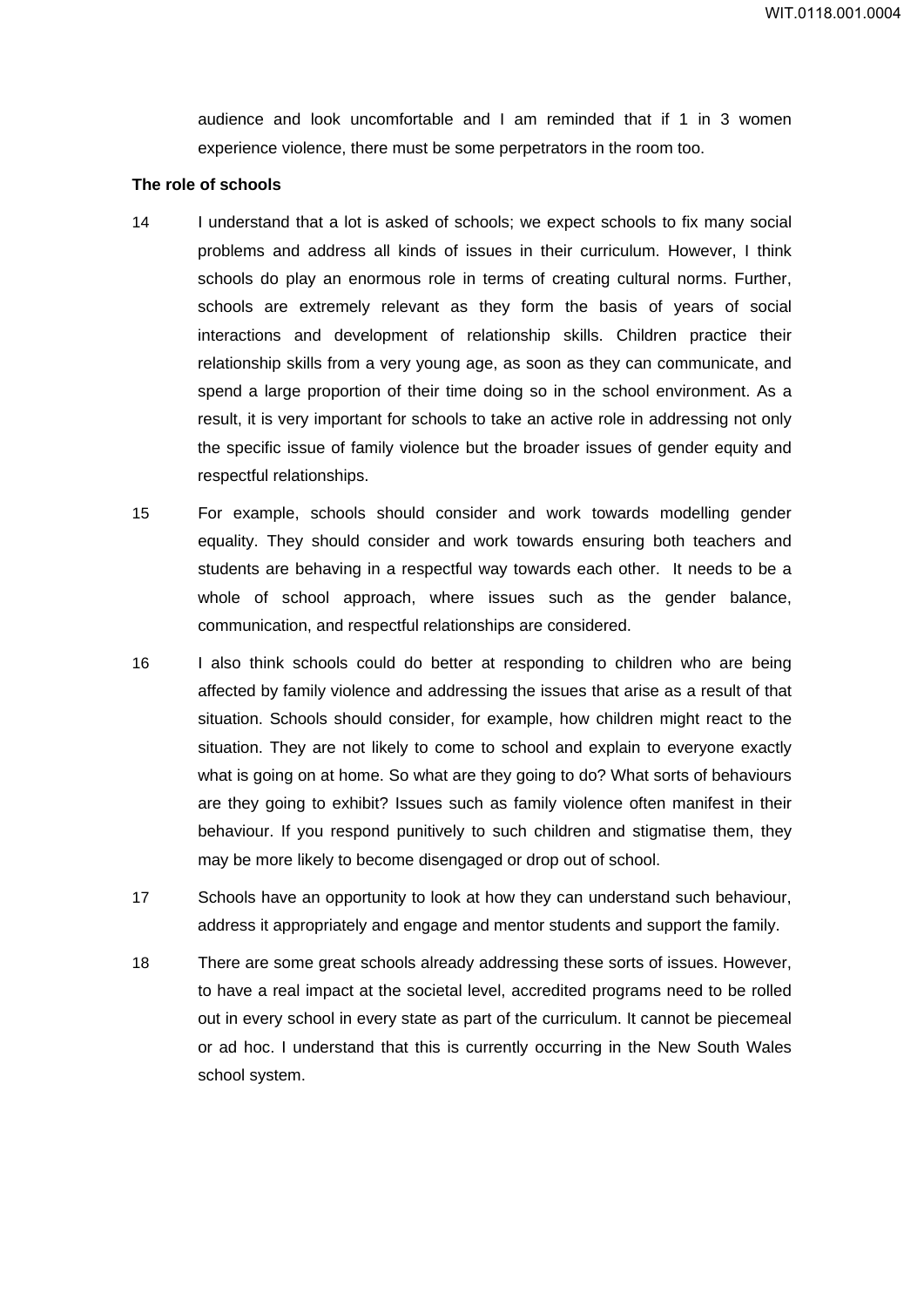audience and look uncomfortable and I am reminded that if 1 in 3 women experience violence, there must be some perpetrators in the room too.

#### **The role of schools**

- 14 I understand that a lot is asked of schools; we expect schools to fix many social problems and address all kinds of issues in their curriculum. However, I think schools do play an enormous role in terms of creating cultural norms. Further, schools are extremely relevant as they form the basis of years of social interactions and development of relationship skills. Children practice their relationship skills from a very young age, as soon as they can communicate, and spend a large proportion of their time doing so in the school environment. As a result, it is very important for schools to take an active role in addressing not only the specific issue of family violence but the broader issues of gender equity and respectful relationships.
- 15 For example, schools should consider and work towards modelling gender equality. They should consider and work towards ensuring both teachers and students are behaving in a respectful way towards each other. It needs to be a whole of school approach, where issues such as the gender balance, communication, and respectful relationships are considered.
- 16 I also think schools could do better at responding to children who are being affected by family violence and addressing the issues that arise as a result of that situation. Schools should consider, for example, how children might react to the situation. They are not likely to come to school and explain to everyone exactly what is going on at home. So what are they going to do? What sorts of behaviours are they going to exhibit? Issues such as family violence often manifest in their behaviour. If you respond punitively to such children and stigmatise them, they may be more likely to become disengaged or drop out of school.
- 17 Schools have an opportunity to look at how they can understand such behaviour, address it appropriately and engage and mentor students and support the family.
- 18 There are some great schools already addressing these sorts of issues. However, to have a real impact at the societal level, accredited programs need to be rolled out in every school in every state as part of the curriculum. It cannot be piecemeal or ad hoc. I understand that this is currently occurring in the New South Wales school system.